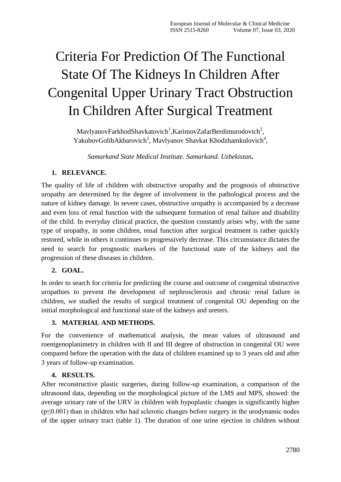# Criteria For Prediction Of The Functional State Of The Kidneys In Children After Congenital Upper Urinary Tract Obstruction In Children After Surgical Treatment

MavlyanovFarkhodShavkatovich<sup>1</sup>, KarimovZafarBerdimurodovich<sup>2</sup>, YakubovGolibAkbarovich<sup>3</sup>, Mavlyanov Shavkat Khodzhamkulovich<sup>4</sup>,

*Samarkand State Medical Institute. Samarkand. Uzbekistan***.**

# **1. RELEVANCE.**

The quality of life of children with obstructive uropathy and the prognosis of obstructive uropathy are determined by the degree of involvement in the pathological process and the nature of kidney damage. In severe cases, obstructive uropathy is accompanied by a decrease and even loss of renal function with the subsequent formation of renal failure and disability of the child. In everyday clinical practice, the question constantly arises why, with the same type of uropathy, in some children, renal function after surgical treatment is rather quickly restored, while in others it continues to progressively decrease. This circumstance dictates the need to search for prognostic markers of the functional state of the kidneys and the progression of these diseases in children.

# **2. GOAL.**

In order to search for criteria for predicting the course and outcome of congenital obstructive uropathies to prevent the development of nephrosclerosis and chronic renal failure in children, we studied the results of surgical treatment of congenital OU depending on the initial morphological and functional state of the kidneys and ureters.

# **3. MATERIAL AND METHODS.**

For the convenience of mathematical analysis, the mean values of ultrasound and roentgenoplanimetry in children with II and III degree of obstruction in congenital OU were compared before the operation with the data of children examined up to 3 years old and after 3 years of follow-up examination.

#### **4. RESULTS.**

After reconstructive plastic surgeries, during follow-up examination, a comparison of the ultrasound data, depending on the morphological picture of the LMS and MPS, showed: the average urinary rate of the URV in children with hypoplastic changes is significantly higher  $(p \le 0.001)$  than in children who had sclerotic changes before surgery in the urodynamic nodes of the upper urinary tract (table 1). The duration of one urine ejection in children without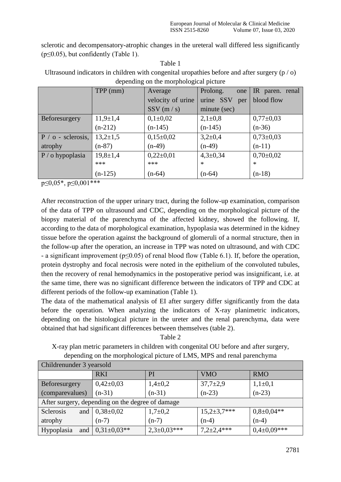sclerotic and decompensatory-atrophic changes in the ureteral wall differed less significantly  $(p \le 0.05)$ , but confidently (Table 1).

Table 1 Ultrasound indicators in children with congenital uropathies before and after surgery  $(p / o)$ depending on the morphological picture

|                      | $TPP$ (mm)     | Average           | Prolong.<br>one  | IR paren. renal |
|----------------------|----------------|-------------------|------------------|-----------------|
|                      |                | velocity of urine | urine SSV<br>per | blood flow      |
|                      |                | SSV(m/s)          | minute (sec)     |                 |
| Beforesurgery        | $11,9+1,4$     | $0,1\pm0,02$      | $2,1\pm0,8$      | $0,77\pm0,03$   |
|                      | $(n-212)$      | $(n-145)$         | $(n-145)$        | $(n-36)$        |
| $P / o$ - sclerosis, | $13,2{\pm}1,5$ | $0,15\pm0,02$     | $3,2\pm0,4$      | $0,73\pm0,03$   |
| atrophy              | $(n-87)$       | $(n-49)$          | $(n-49)$         | $(n-11)$        |
| $P / o$ hypoplasia   | $19,8 \pm 1,4$ | $0,22\pm0,01$     | $4,3 \pm 0,34$   | $0,70\pm0,02$   |
|                      | ***            | ***               | $\ast$           | $\ast$          |
|                      | $(n-125)$      | $(n-64)$          | $(n-64)$         | $(n-18)$        |

 $p \leq 0.05$ \*,  $p \leq 0.001$ \*\*\*

After reconstruction of the upper urinary tract, during the follow-up examination, comparison of the data of TPP on ultrasound and CDC, depending on the morphological picture of the biopsy material of the parenchyma of the affected kidney, showed the following. If, according to the data of morphological examination, hypoplasia was determined in the kidney tissue before the operation against the background of glomeruli of a normal structure, then in the follow-up after the operation, an increase in TPP was noted on ultrasound, and with CDC - a significant improvement (p≤0.05) of renal blood flow (Table 6.1). If, before the operation, protein dystrophy and focal necrosis were noted in the epithelium of the convoluted tubules, then the recovery of renal hemodynamics in the postoperative period was insignificant, i.e. at the same time, there was no significant difference between the indicators of TPP and CDC at different periods of the follow-up examination (Table 1).

The data of the mathematical analysis of EI after surgery differ significantly from the data before the operation. When analyzing the indicators of X-ray planimetric indicators, depending on the histological picture in the ureter and the renal parenchyma, data were obtained that had significant differences between themselves (table 2).

Table 2

X-ray plan metric parameters in children with congenital OU before and after surgery, depending on the morphological picture of LMS, MPS and renal parenchyma

| Childrenunder 3 yearsold                         |                                   |                   |                    |                  |  |
|--------------------------------------------------|-----------------------------------|-------------------|--------------------|------------------|--|
|                                                  | <b>RKI</b>                        | PI                | <b>VMO</b>         | <b>RMO</b>       |  |
| Beforesurgery                                    | $0,42\pm0,03$                     | $1,4\pm0,2$       | $37,7{\pm}2,9$     | $1,1\pm0,1$      |  |
| (comparevalues)                                  | $(n-31)$                          | $(n-31)$          | $(n-23)$           | $(n-23)$         |  |
| After surgery, depending on the degree of damage |                                   |                   |                    |                  |  |
| Sclerosis<br>and                                 | $0,38{\pm}0,02$                   | $1,7+0,2$         | $15,2 \pm 3,7$ *** | $0,8{\pm}0,04**$ |  |
| atrophy                                          | $(n-7)$                           | $(n-7)$           | $(n-4)$            | $(n-4)$          |  |
| Hypoplasia                                       | and $\vert 0.31 \pm 0.03** \vert$ | $2,3{\pm}0,03***$ | $7,2{\pm}2,4***$   | $0,4\pm0,09***$  |  |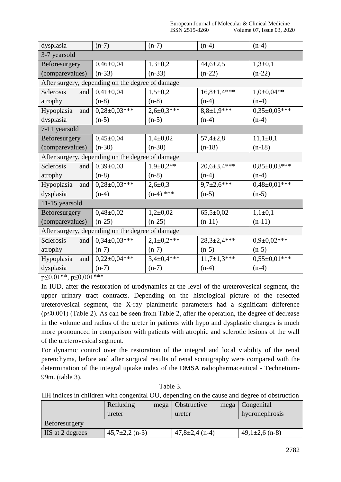| dysplasia                                        | $(n-7)$                                          | $(n-7)$           | $(n-4)$            | $(n-4)$            |  |
|--------------------------------------------------|--------------------------------------------------|-------------------|--------------------|--------------------|--|
| 3-7 yearsold                                     |                                                  |                   |                    |                    |  |
| Beforesurgery                                    | $0,46\pm0,04$                                    | $1,3+0,2$         | $44,6{\pm}2,5$     | $1,3+0,1$          |  |
| (comparevalues)                                  | $(n-33)$                                         | $(n-33)$          | $(n-22)$           | $(n-22)$           |  |
|                                                  | After surgery, depending on the degree of damage |                   |                    |                    |  |
| <b>Sclerosis</b><br>and                          | $0,41\pm0,04$                                    | $1,5+0,2$         | $16,8 \pm 1,4$ *** | $1,0+0,04**$       |  |
| atrophy                                          | $(n-8)$                                          | $(n-8)$           | $(n-4)$            | $(n-4)$            |  |
| Hypoplasia and                                   | $0,28\pm0,03***$                                 | $2,6 \pm 0,3$ *** | $8,8\pm1,9***$     | $0,35\pm0,03***$   |  |
| dysplasia                                        | $(n-5)$                                          | $(n-5)$           | $(n-4)$            | $(n-4)$            |  |
| 7-11 yearsold                                    |                                                  |                   |                    |                    |  |
| Beforesurgery                                    | $0,45\pm0,04$                                    | $1,4\pm0,02$      | $57,4 \pm 2,8$     | $11,1\pm0,1$       |  |
| (comparevalues)                                  | $(n-30)$                                         | $(n-30)$          | $(n-18)$           | $(n-18)$           |  |
|                                                  | After surgery, depending on the degree of damage |                   |                    |                    |  |
| Sclerosis<br>and                                 | $0,39\pm0,03$                                    | $1,9+0,2**$       | $20,6 \pm 3,4$ *** | $0.85 \pm 0.03***$ |  |
| atrophy                                          | $(n-8)$                                          | $(n-8)$           | $(n-4)$            | $(n-4)$            |  |
| Hypoplasia and                                   | $0,28\pm0,03***$                                 | $2,6 \pm 0.3$     | $9,7{\pm}2,6$ ***  | $0,48\pm0,01***$   |  |
| dysplasia                                        | $(n-4)$                                          | $(n-4)$ ***       | $(n-5)$            | $(n-5)$            |  |
| 11-15 yearsold                                   |                                                  |                   |                    |                    |  |
| Beforesurgery                                    | $0,48\pm0,02$                                    | $1,2{\pm}0,02$    | $65,5 \pm 0.02$    | $1,1\pm 0,1$       |  |
| (comparevalues)                                  | $(n-25)$                                         | $(n-25)$          | $(n-11)$           | $(n-11)$           |  |
| After surgery, depending on the degree of damage |                                                  |                   |                    |                    |  |
| Sclerosis<br>and                                 | $0,34\pm0,03***$                                 | $2,1\pm0,2***$    | $28,3{\pm}2,4***$  | $0,9+0,02***$      |  |
| atrophy                                          | $(n-7)$                                          | $(n-7)$           | $(n-5)$            | $(n-5)$            |  |
| and<br>Hypoplasia                                | $0,22\pm0,04***$                                 | $3,4\pm0,4***$    | $11,7{\pm}1,3***$  | $0.55 \pm 0.01***$ |  |
| dysplasia                                        | $(n-7)$                                          | $(n-7)$           | $(n-4)$            | $(n-4)$            |  |

 $p \leq 0.01$ \*\*,  $p \leq 0.001$ \*\*\*

In IUD, after the restoration of urodynamics at the level of the ureterovesical segment, the upper urinary tract contracts. Depending on the histological picture of the resected ureterovesical segment, the X-ray planimetric parameters had a significant difference (p≤0.001) (Table 2). As can be seen from Table 2, after the operation, the degree of decrease in the volume and radius of the ureter in patients with hypo and dysplastic changes is much more pronounced in comparison with patients with atrophic and sclerotic lesions of the wall of the ureterovesical segment.

For dynamic control over the restoration of the integral and local viability of the renal parenchyma, before and after surgical results of renal scintigraphy were compared with the determination of the integral uptake index of the DMSA radiopharmaceutical - Technetium-99m. (table 3).

| Table 3.                                                                                     |
|----------------------------------------------------------------------------------------------|
| IIH indices in children with congenital OU, depending on the cause and degree of obstruction |

|                  | Refluxing          | mega | Obstructive          | mega | Congenital         |
|------------------|--------------------|------|----------------------|------|--------------------|
|                  | ureter             |      | ureter               |      | hydronephrosis     |
| Beforesurgery    |                    |      |                      |      |                    |
| IIS at 2 degrees | $45,7\pm2,2$ (n-3) |      | $47,8 \pm 2,4$ (n-4) |      | $49,1\pm2,6$ (n-8) |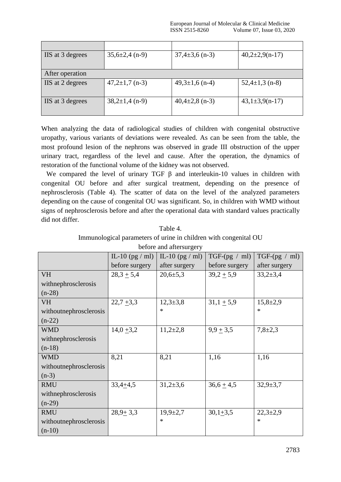| IIS at 3 degrees | $35,6\pm2,4$ (n-9)           | $37,4\pm3,6$ (n-3)   | $40,2{\pm}2,9(n-17)$ |
|------------------|------------------------------|----------------------|----------------------|
|                  |                              |                      |                      |
| After operation  |                              |                      |                      |
| IIS at 2 degrees | $47,2\pm1,7$ (n-3)           | $49,3 \pm 1,6$ (n-4) | $52,4\pm 1,3$ (n-8)  |
|                  |                              |                      |                      |
| IIS at 3 degrees | $38,2 \pm 1,4 \text{ (n-9)}$ | $40,4\pm2,8$ (n-3)   | $43,1 \pm 3,9(n-17)$ |
|                  |                              |                      |                      |

When analyzing the data of radiological studies of children with congenital obstructive uropathy, various variants of deviations were revealed. As can be seen from the table, the most profound lesion of the nephrons was observed in grade III obstruction of the upper urinary tract, regardless of the level and cause. After the operation, the dynamics of restoration of the functional volume of the kidney was not observed.

We compared the level of urinary TGF  $\beta$  and interleukin-10 values in children with congenital OU before and after surgical treatment, depending on the presence of nephrosclerosis (Table 4). The scatter of data on the level of the analyzed parameters depending on the cause of congenital OU was significant. So, in children with WMD without signs of nephrosclerosis before and after the operational data with standard values practically did not differ.

| Table 4.                                                         |  |  |  |  |
|------------------------------------------------------------------|--|--|--|--|
| Immunological parameters of urine in children with congenital OU |  |  |  |  |
| before and aftersurgery                                          |  |  |  |  |

|                        | IL-10 $(pg / ml)$ | IL-10 (pg $/$ ml) | $TGF-(pg / ml)$ | $TGF-(pg / ml)$ |
|------------------------|-------------------|-------------------|-----------------|-----------------|
|                        | before surgery    | after surgery     | before surgery  | after surgery   |
| <b>VH</b>              | $28,3 + 5,4$      | $20,6{\pm}5,3$    | $39,2 \pm 5,9$  | $33,2+3,4$      |
| withnephrosclerosis    |                   |                   |                 |                 |
| $(n-28)$               |                   |                   |                 |                 |
| <b>VH</b>              | $22,7+3,3$        | $12,3+3,8$        | $31,1 + 5,9$    | $15,8+2,9$      |
| withoutnephrosclerosis |                   | $\ast$            |                 | $\ast$          |
| $(n-22)$               |                   |                   |                 |                 |
| <b>WMD</b>             | $14,0+3,2$        | $11,2{\pm}2,8$    | $9,9+3,5$       | $7,8+2,3$       |
| withnephrosclerosis    |                   |                   |                 |                 |
| $(n-18)$               |                   |                   |                 |                 |
| <b>WMD</b>             | 8,21              | 8,21              | 1,16            | 1,16            |
| withoutnephrosclerosis |                   |                   |                 |                 |
| $(n-3)$                |                   |                   |                 |                 |
| <b>RMU</b>             | $33,4+4,5$        | $31,2+3,6$        | $36,6 \pm 4,5$  | $32,9+3,7$      |
| withnephrosclerosis    |                   |                   |                 |                 |
| $(n-29)$               |                   |                   |                 |                 |
| <b>RMU</b>             | $28,9+3,3$        | $19,9{\pm}2,7$    | $30,1+3,5$      | $22,3+2,9$      |
| withoutnephrosclerosis |                   | $\ast$            |                 | $\ast$          |
| $(n-10)$               |                   |                   |                 |                 |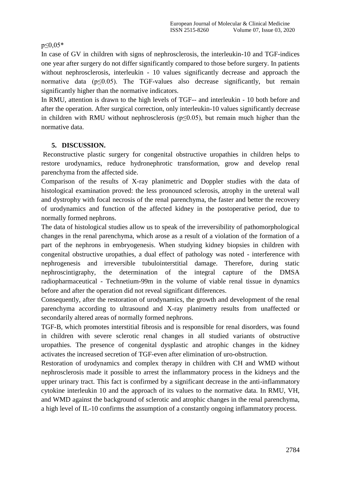#### $p \leq 0.05*$

In case of GV in children with signs of nephrosclerosis, the interleukin-10 and TGF-indices one year after surgery do not differ significantly compared to those before surgery. In patients without nephrosclerosis, interleukin - 10 values significantly decrease and approach the normative data ( $p \le 0.05$ ). The TGF-values also decrease significantly, but remain significantly higher than the normative indicators.

In RMU, attention is drawn to the high levels of TGF-- and interleukin - 10 both before and after the operation. After surgical correction, only interleukin-10 values significantly decrease in children with RMU without nephrosclerosis ( $p \le 0.05$ ), but remain much higher than the normative data.

## **5. DISCUSSION.**

Reconstructive plastic surgery for congenital obstructive uropathies in children helps to restore urodynamics, reduce hydronephrotic transformation, grow and develop renal parenchyma from the affected side.

Comparison of the results of X-ray planimetric and Doppler studies with the data of histological examination proved: the less pronounced sclerosis, atrophy in the ureteral wall and dystrophy with focal necrosis of the renal parenchyma, the faster and better the recovery of urodynamics and function of the affected kidney in the postoperative period, due to normally formed nephrons.

The data of histological studies allow us to speak of the irreversibility of pathomorphological changes in the renal parenchyma, which arose as a result of a violation of the formation of a part of the nephrons in embryogenesis. When studying kidney biopsies in children with congenital obstructive uropathies, a dual effect of pathology was noted - interference with nephrogenesis and irreversible tubulointerstitial damage. Therefore, during static nephroscintigraphy, the determination of the integral capture of the DMSA radiopharmaceutical - Technetium-99m in the volume of viable renal tissue in dynamics before and after the operation did not reveal significant differences.

Consequently, after the restoration of urodynamics, the growth and development of the renal parenchyma according to ultrasound and X-ray planimetry results from unaffected or secondarily altered areas of normally formed nephrons.

TGF-B, which promotes interstitial fibrosis and is responsible for renal disorders, was found in children with severe sclerotic renal changes in all studied variants of obstructive uropathies. The presence of congenital dysplastic and atrophic changes in the kidney activates the increased secretion of TGF-even after elimination of uro-obstruction.

Restoration of urodynamics and complex therapy in children with CH and WMD without nephrosclerosis made it possible to arrest the inflammatory process in the kidneys and the upper urinary tract. This fact is confirmed by a significant decrease in the anti-inflammatory cytokine interleukin 10 and the approach of its values to the normative data. In RMU, VH, and WMD against the background of sclerotic and atrophic changes in the renal parenchyma, a high level of IL-10 confirms the assumption of a constantly ongoing inflammatory process.